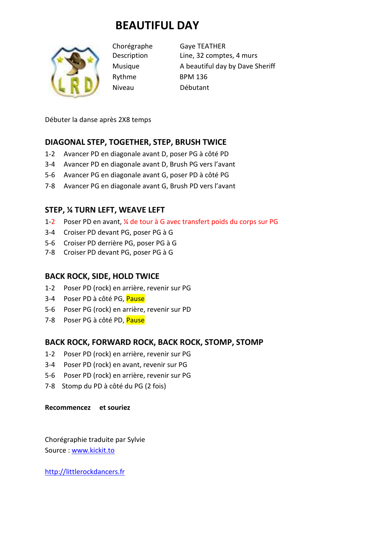# **BEAUTIFUL DAY**



Rythme BPM 136 Niveau Débutant

Chorégraphe Gaye TEATHER Description Line, 32 comptes, 4 murs Musique A beautiful day by Dave Sheriff

Débuter la danse après 2X8 temps

### **DIAGONAL STEP, TOGETHER, STEP, BRUSH TWICE**

- 1-2 Avancer PD en diagonale avant D, poser PG à côté PD
- 3-4 Avancer PD en diagonale avant D, Brush PG vers l'avant
- 5-6 Avancer PG en diagonale avant G, poser PD à côté PG
- 7-8 Avancer PG en diagonale avant G, Brush PD vers l'avant

### **STEP, ¼ TURN LEFT, WEAVE LEFT**

- 1-2 Poser PD en avant, ¼ de tour à G avec transfert poids du corps sur PG
- 3-4 Croiser PD devant PG, poser PG à G
- 5-6 Croiser PD derrière PG, poser PG à G
- 7-8 Croiser PD devant PG, poser PG à G

#### **BACK ROCK, SIDE, HOLD TWICE**

- 1-2 Poser PD (rock) en arrière, revenir sur PG
- 3-4 Poser PD à côté PG, Pause
- 5-6 Poser PG (rock) en arrière, revenir sur PD
- 7-8 Poser PG à côté PD, Pause

## **BACK ROCK, FORWARD ROCK, BACK ROCK, STOMP, STOMP**

- 1-2 Poser PD (rock) en arrière, revenir sur PG
- 3-4 Poser PD (rock) en avant, revenir sur PG
- 5-6 Poser PD (rock) en arrière, revenir sur PG
- 7-8 Stomp du PD à côté du PG (2 fois)

#### **Recommencez et souriez**

Chorégraphie traduite par Sylvie Source : www.kickit.to

http://littlerockdancers.fr